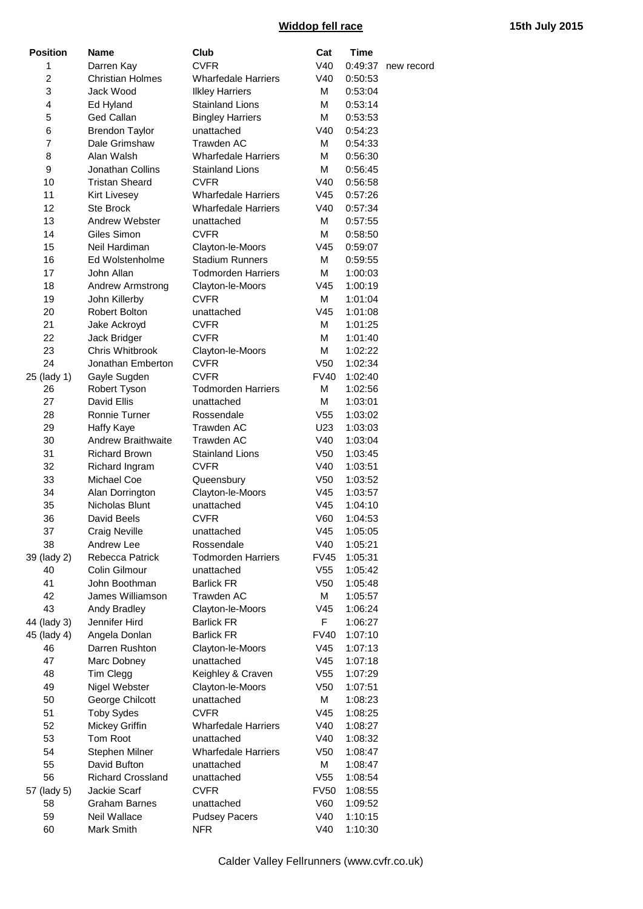## **Widdop fell race 15th July 2015**

| <b>Position</b> | <b>Name</b>               | Club                       | Cat             | <b>Time</b> |            |
|-----------------|---------------------------|----------------------------|-----------------|-------------|------------|
| 1               | Darren Kay                | <b>CVFR</b>                | V40             | 0:49:37     | new record |
| $\overline{c}$  | <b>Christian Holmes</b>   | <b>Wharfedale Harriers</b> | V40             | 0:50:53     |            |
| 3               | Jack Wood                 | <b>Ilkley Harriers</b>     | M               | 0:53:04     |            |
| 4               | Ed Hyland                 | <b>Stainland Lions</b>     | M               | 0:53:14     |            |
| 5               | <b>Ged Callan</b>         | <b>Bingley Harriers</b>    | M               | 0:53:53     |            |
| 6               | <b>Brendon Taylor</b>     | unattached                 | V40             | 0:54:23     |            |
| $\overline{7}$  | Dale Grimshaw             | Trawden AC                 | M               | 0:54:33     |            |
| 8               | Alan Walsh                | <b>Wharfedale Harriers</b> | M               | 0:56:30     |            |
| 9               | <b>Jonathan Collins</b>   | <b>Stainland Lions</b>     | M               | 0:56:45     |            |
| 10              | <b>Tristan Sheard</b>     | <b>CVFR</b>                | V40             | 0:56:58     |            |
| 11              | <b>Kirt Livesey</b>       | <b>Wharfedale Harriers</b> | V45             | 0:57:26     |            |
| 12              | <b>Ste Brock</b>          | <b>Wharfedale Harriers</b> | V40             | 0:57:34     |            |
| 13              | Andrew Webster            | unattached                 | м               | 0:57:55     |            |
| 14              | Giles Simon               | <b>CVFR</b>                | M               | 0:58:50     |            |
| 15              | Neil Hardiman             | Clayton-le-Moors           | V <sub>45</sub> | 0:59:07     |            |
| 16              | Ed Wolstenholme           | <b>Stadium Runners</b>     | M               | 0:59:55     |            |
| 17              | John Allan                | <b>Todmorden Harriers</b>  | M               | 1:00:03     |            |
| 18              | <b>Andrew Armstrong</b>   | Clayton-le-Moors           | V <sub>45</sub> | 1:00:19     |            |
| 19              | John Killerby             | <b>CVFR</b>                | м               | 1:01:04     |            |
| 20              | Robert Bolton             | unattached                 | V45             | 1:01:08     |            |
| 21              | Jake Ackroyd              | <b>CVFR</b>                | M               | 1:01:25     |            |
| 22              | Jack Bridger              | <b>CVFR</b>                | M               | 1:01:40     |            |
| 23              | Chris Whitbrook           | Clayton-le-Moors           | M               | 1:02:22     |            |
| 24              | Jonathan Emberton         | <b>CVFR</b>                | V <sub>50</sub> | 1:02:34     |            |
| 25 (lady 1)     | Gayle Sugden              | <b>CVFR</b>                | <b>FV40</b>     | 1:02:40     |            |
| 26              | Robert Tyson              | <b>Todmorden Harriers</b>  | М               | 1:02:56     |            |
| 27              | David Ellis               | unattached                 | M               | 1:03:01     |            |
| 28              | Ronnie Turner             | Rossendale                 | V <sub>55</sub> | 1:03:02     |            |
| 29              | <b>Haffy Kaye</b>         | Trawden AC                 | U23             | 1:03:03     |            |
| 30              | <b>Andrew Braithwaite</b> | Trawden AC                 | V40             | 1:03:04     |            |
| 31              | <b>Richard Brown</b>      | <b>Stainland Lions</b>     | V <sub>50</sub> | 1:03:45     |            |
| 32              | Richard Ingram            | <b>CVFR</b>                | V40             | 1:03:51     |            |
| 33              | Michael Coe               | Queensbury                 | V <sub>50</sub> | 1:03:52     |            |
| 34              | Alan Dorrington           | Clayton-le-Moors           | V <sub>45</sub> | 1:03:57     |            |
| 35              | <b>Nicholas Blunt</b>     | unattached                 | V45             | 1:04:10     |            |
| 36              | David Beels               | <b>CVFR</b>                | V60             | 1:04:53     |            |
| 37              | Craig Neville             | unattached                 | V45             | 1:05:05     |            |
| 38              | Andrew Lee                | Rossendale                 | V40             | 1:05:21     |            |
| 39 (lady 2)     | Rebecca Patrick           | <b>Todmorden Harriers</b>  | <b>FV45</b>     | 1:05:31     |            |
| 40              | Colin Gilmour             | unattached                 | V <sub>55</sub> | 1:05:42     |            |
| 41              | John Boothman             | <b>Barlick FR</b>          | V <sub>50</sub> | 1:05:48     |            |
| 42              | James Williamson          | Trawden AC                 | М               | 1:05:57     |            |
| 43              | Andy Bradley              | Clayton-le-Moors           | V <sub>45</sub> | 1:06:24     |            |
| 44 (lady 3)     | Jennifer Hird             | <b>Barlick FR</b>          | F.              | 1:06:27     |            |
| 45 (lady 4)     | Angela Donlan             | <b>Barlick FR</b>          | <b>FV40</b>     | 1:07:10     |            |
| 46              | Darren Rushton            | Clayton-le-Moors           | V <sub>45</sub> | 1:07:13     |            |
| 47              | Marc Dobney               | unattached                 | V45             | 1:07:18     |            |
| 48              | Tim Clegg                 | Keighley & Craven          | V <sub>55</sub> | 1:07:29     |            |
| 49              | Nigel Webster             | Clayton-le-Moors           | V <sub>50</sub> | 1:07:51     |            |
| 50              | George Chilcott           | unattached                 | М               | 1:08:23     |            |
| 51              | <b>Toby Sydes</b>         | <b>CVFR</b>                | V <sub>45</sub> | 1:08:25     |            |
| 52              | Mickey Griffin            | <b>Wharfedale Harriers</b> | V40             | 1:08:27     |            |
| 53              | Tom Root                  | unattached                 | V40             | 1:08:32     |            |
| 54              | Stephen Milner            | <b>Wharfedale Harriers</b> | V <sub>50</sub> | 1:08:47     |            |
| 55              | David Bufton              | unattached                 | М               | 1:08:47     |            |
| 56              | <b>Richard Crossland</b>  | unattached                 | V <sub>55</sub> | 1:08:54     |            |
| 57 (lady 5)     | Jackie Scarf              | <b>CVFR</b>                | <b>FV50</b>     | 1:08:55     |            |
| 58              | <b>Graham Barnes</b>      | unattached                 | V60             | 1:09:52     |            |
| 59              | Neil Wallace              | <b>Pudsey Pacers</b>       | V40             | 1:10:15     |            |
| 60              | Mark Smith                | <b>NFR</b>                 | V40             | 1:10:30     |            |
|                 |                           |                            |                 |             |            |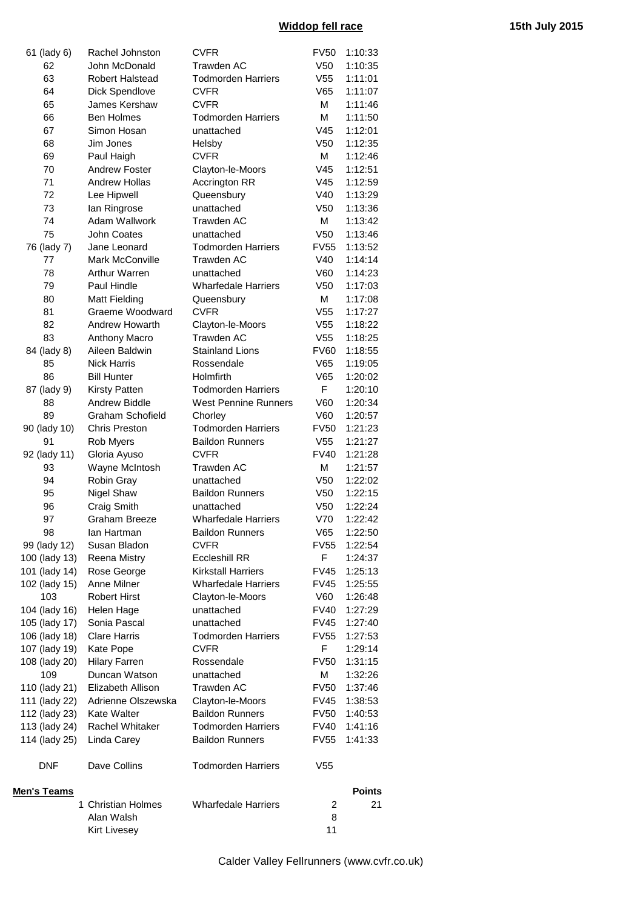## **Widdop fell race 15th July 2015**

|                    | Alan Walsh<br><b>Kirt Livesey</b> |                                          | 8<br>11         |               |
|--------------------|-----------------------------------|------------------------------------------|-----------------|---------------|
|                    | 1 Christian Holmes                | <b>Wharfedale Harriers</b>               | 2               | 21            |
| <b>Men's Teams</b> |                                   |                                          |                 | <b>Points</b> |
| <b>DNF</b>         | Dave Collins                      | <b>Todmorden Harriers</b>                | V <sub>55</sub> |               |
| 114 (lady 25)      | Linda Carey                       | <b>Baildon Runners</b>                   | <b>FV55</b>     | 1:41:33       |
| 113 (lady 24)      | Rachel Whitaker                   | <b>Todmorden Harriers</b>                | FV40            | 1:41:16       |
| 112 (lady 23)      | Kate Walter                       | <b>Baildon Runners</b>                   | <b>FV50</b>     | 1:40:53       |
| 111 (lady 22)      | Adrienne Olszewska                | Clayton-le-Moors                         | FV45            | 1:38:53       |
| 110 (lady 21)      | Elizabeth Allison                 | Trawden AC                               | <b>FV50</b>     | 1:37:46       |
| 109                | Duncan Watson                     | unattached                               | Μ               | 1:32:26       |
| 108 (lady 20)      | <b>Hilary Farren</b>              | Rossendale                               | <b>FV50</b>     | 1:31:15       |
| 107 (lady 19)      | Kate Pope                         | <b>CVFR</b>                              | F               | 1:29:14       |
| 106 (lady 18)      | <b>Clare Harris</b>               | <b>Todmorden Harriers</b>                | <b>FV55</b>     | 1:27:53       |
| 105 (lady 17)      | Sonia Pascal                      | unattached                               | FV45            | 1:27:40       |
| 104 (lady 16)      | Helen Hage                        | unattached                               | <b>FV40</b>     | 1:27:29       |
| 103                | <b>Robert Hirst</b>               | Clayton-le-Moors                         | V60             | 1:26:48       |
| 102 (lady 15)      | Anne Milner                       | <b>Wharfedale Harriers</b>               | <b>FV45</b>     | 1:25:55       |
| 101 (lady 14)      | Rose George                       | <b>Kirkstall Harriers</b>                | <b>FV45</b>     | 1:25:13       |
| 100 (lady 13)      | Reena Mistry                      | <b>Eccleshill RR</b>                     | F.              | 1:24:37       |
| 99 (lady 12)       | Susan Bladon                      | <b>CVFR</b>                              | FV55            | 1:22:54       |
| 98                 | lan Hartman                       | <b>Baildon Runners</b>                   | V65             | 1:22:50       |
| 97                 | <b>Graham Breeze</b>              | <b>Wharfedale Harriers</b>               | V70             | 1:22:42       |
| 96                 | Craig Smith                       | unattached                               | V <sub>50</sub> | 1:22:24       |
| 95                 | Nigel Shaw                        | <b>Baildon Runners</b>                   | V <sub>50</sub> | 1:22:15       |
| 94                 | Robin Gray                        | unattached                               | V <sub>50</sub> | 1:22:02       |
| 93                 | Wayne McIntosh                    | <b>Trawden AC</b>                        | M               | 1:21:57       |
| 92 (lady 11)       | Gloria Ayuso                      | <b>CVFR</b>                              | <b>FV40</b>     | 1:21:28       |
| 91                 | Rob Myers                         | <b>Baildon Runners</b>                   | V <sub>55</sub> | 1:21:27       |
| 90 (lady 10)       | <b>Chris Preston</b>              | <b>Todmorden Harriers</b>                | <b>FV50</b>     | 1:21:23       |
| 89                 | <b>Graham Schofield</b>           | Chorley                                  | V60             | 1:20:57       |
| 88                 | <b>Andrew Biddle</b>              | <b>West Pennine Runners</b>              | V60             | 1:20:34       |
| 87 (lady 9)        | <b>Kirsty Patten</b>              | <b>Todmorden Harriers</b>                | F.              | 1:20:10       |
| 86                 | <b>Bill Hunter</b>                | <b>Holmfirth</b>                         | V65             | 1:20:02       |
| 85                 | <b>Nick Harris</b>                | Rossendale                               | V65             | 1:19:05       |
| 84 (lady 8)        | Aileen Baldwin                    | <b>Stainland Lions</b>                   | <b>FV60</b>     | 1:18:55       |
| 83                 | Anthony Macro                     |                                          | V <sub>55</sub> | 1:18:25       |
| 82                 | Andrew Howarth                    | Clayton-le-Moors<br><b>Trawden AC</b>    | V <sub>55</sub> | 1:18:22       |
|                    |                                   |                                          | V55             | 1:17:27       |
| 80<br>81           | Matt Fielding<br>Graeme Woodward  | Queensbury<br><b>CVFR</b>                | м               | 1:17:08       |
| 79                 | Paul Hindle                       | <b>Wharfedale Harriers</b>               | V50             | 1:17:03       |
| 78                 | <b>Arthur Warren</b>              | unattached                               | V60             | 1:14:23       |
| 77                 | <b>Mark McConville</b>            | <b>Trawden AC</b>                        | V40             | 1:14:14       |
| 76 (lady 7)        | Jane Leonard                      | <b>Todmorden Harriers</b>                | FV55            | 1:13:52       |
| 75                 | John Coates                       | unattached                               | V <sub>50</sub> | 1:13:46       |
| 74                 | Adam Wallwork                     | <b>Trawden AC</b>                        | м               | 1:13:42       |
| 73                 | lan Ringrose                      | unattached                               | V <sub>50</sub> | 1:13:36       |
| 72                 | Lee Hipwell                       | Queensbury                               | V40             | 1:13:29       |
| 71                 | <b>Andrew Hollas</b>              | Accrington RR                            | V45             | 1:12:59       |
| 70                 | <b>Andrew Foster</b>              | Clayton-le-Moors                         | V45             | 1:12:51       |
| 69                 | Paul Haigh                        | <b>CVFR</b>                              | м               | 1:12:46       |
| 68                 | Jim Jones                         | Helsby                                   | V <sub>50</sub> | 1:12:35       |
| 67                 | Simon Hosan                       | unattached                               | V45             | 1:12:01       |
| 66                 | <b>Ben Holmes</b>                 | <b>Todmorden Harriers</b>                | M               | 1:11:50       |
| 65                 | James Kershaw                     | <b>CVFR</b>                              | M               | 1:11:46       |
| 64                 | Dick Spendlove                    |                                          | V65             | 1:11:07       |
| 63                 | <b>Robert Halstead</b>            | <b>Todmorden Harriers</b><br><b>CVFR</b> | V <sub>55</sub> | 1:11:01       |
| 62                 | John McDonald                     | Trawden AC                               | V <sub>50</sub> | 1:10:35       |
| 61 (lady 6)        | Rachel Johnston                   | <b>CVFR</b>                              | <b>FV50</b>     | 1:10:33       |
|                    |                                   |                                          |                 |               |